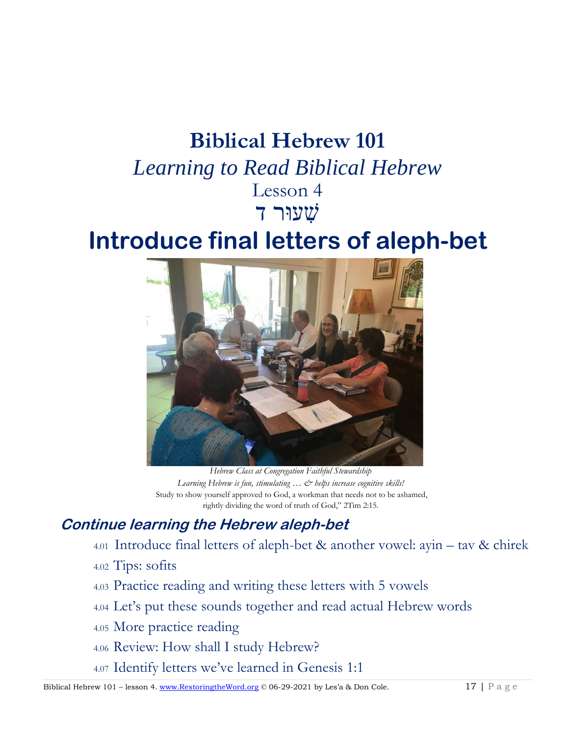# **Biblical Hebrew 101**

*Learning to Read Biblical Hebrew* Lesson 4 שׁ ִעוּר ד

# **Introduce final letters of aleph-bet**



*Hebrew Class at Congregation Faithful Stewardship Learning Hebrew is fun, stimulating … & helps increase cognitive skills!* Study to show yourself approved to God, a workman that needs not to be ashamed, rightly dividing the word of truth of God," 2Tim 2:15.

# **Continue learning the Hebrew aleph-bet**

- 4.01 Introduce final letters of aleph-bet & another vowel: ayin tav & chirek
- 4.02 Tips: sofits
- 4.03 Practice reading and writing these letters with 5 vowels
- 4.04 Let's put these sounds together and read actual Hebrew words
- 4.05 More practice reading
- 4.06 Review: How shall I study Hebrew?
- 4.07 Identify letters we've learned in Genesis 1:1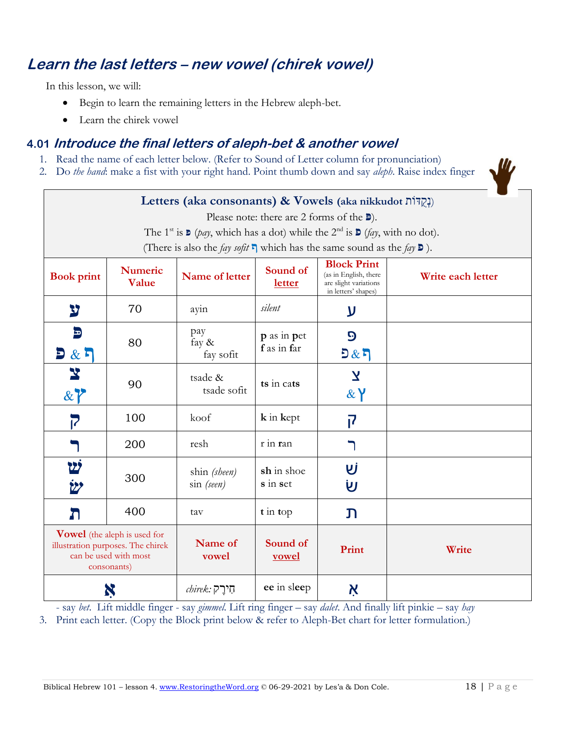## **Learn the last letters – new vowel (chirek vowel)**

In this lesson, we will:

- Begin to learn the remaining letters in the Hebrew aleph-bet.
- Learn the chirek vowel

## **4.01 Introduce the final letters of aleph-bet & another vowel**

- 1. Read the name of each letter below. (Refer to Sound of Letter column for pronunciation)
- 2. Do *the hand*: make a fist with your right hand. Point thumb down and say *aleph*. Raise index finger

| Letters (aka consonants) & Vowels (aka nikkudot וְקָדוֹת)                                                        |                         |                                                                                                                                                    |                           |                                                                                             |                   |
|------------------------------------------------------------------------------------------------------------------|-------------------------|----------------------------------------------------------------------------------------------------------------------------------------------------|---------------------------|---------------------------------------------------------------------------------------------|-------------------|
| Please note: there are 2 forms of the $\blacksquare$ ).                                                          |                         |                                                                                                                                                    |                           |                                                                                             |                   |
|                                                                                                                  |                         | The 1 <sup>st</sup> is $\triangleright$ ( <i>pay</i> , which has a dot) while the 2 <sup>nd</sup> is $\triangleright$ ( <i>fay</i> , with no dot). |                           |                                                                                             |                   |
|                                                                                                                  |                         | (There is also the <i>fay sofit</i> $\Gamma$ which has the same sound as the <i>fay</i> $\mathbf{D}$ ).                                            |                           |                                                                                             |                   |
| <b>Book print</b>                                                                                                | <b>Numeric</b><br>Value | Name of letter                                                                                                                                     | Sound of<br><b>letter</b> | <b>Block Print</b><br>(as in English, there<br>are slight variations<br>in letters' shapes) | Write each letter |
| צ                                                                                                                | 70                      | ayin                                                                                                                                               | silent                    | ע                                                                                           |                   |
| Ð                                                                                                                |                         | pay                                                                                                                                                | p as in pet               | $\boldsymbol{\Theta}$                                                                       |                   |
| 2 & 5                                                                                                            | 80                      | fay $\&$<br>fay sofit                                                                                                                              | f as in far               | 5 & 5                                                                                       |                   |
| 87                                                                                                               | 90                      | tsade &<br>tsade sofit                                                                                                                             | ts in cats                | $\overline{\mathbf{X}}$<br>$\& Y$                                                           |                   |
|                                                                                                                  | 100                     | koof                                                                                                                                               | k in kept                 | 7                                                                                           |                   |
|                                                                                                                  | 200                     | resh                                                                                                                                               | r in ran                  |                                                                                             |                   |
| 22<br><u> ئاغ</u>                                                                                                | 300                     | shin (sheen)<br>$sin$ (seen)                                                                                                                       | sh in shoe<br>s in set    | Uİ<br>Ù                                                                                     |                   |
| Л                                                                                                                | 400                     | tav                                                                                                                                                | $t$ in top                | $\mathbf{D}$                                                                                |                   |
| <b>Vowel</b> (the aleph is used for<br>illustration purposes. The chirek<br>can be used with most<br>consonants) |                         | Name of<br>vowel                                                                                                                                   | Sound of<br><u>vowel</u>  | Print                                                                                       | Write             |
| Ņ                                                                                                                |                         | $\mathit{chirek:}$ חֵירֵק                                                                                                                          | ee in sleep               | Ķ                                                                                           |                   |

- say *bet*. Lift middle finger - say *gimmel*. Lift ring finger – say *dalet*. And finally lift pinkie – say *hay*

3. Print each letter. (Copy the Block print below & refer to Aleph-Bet chart for letter formulation.)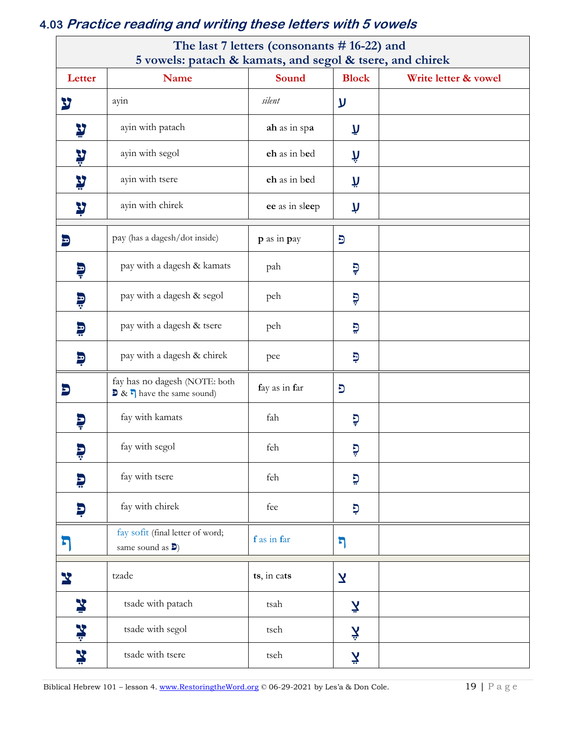# 4.03 Practice reading and writing these letters with 5 vowels

|                              | 5 vowels: patach & kamats, and segol & tsere, and chirek                                  | The last 7 letters (consonants # 16-22) and |                    |                      |
|------------------------------|-------------------------------------------------------------------------------------------|---------------------------------------------|--------------------|----------------------|
| Letter<br>Name               |                                                                                           | Sound                                       | <b>Block</b>       | Write letter & vowel |
| צ                            | ayin                                                                                      | silent                                      | ע                  |                      |
| y                            | ayin with patach                                                                          | ah as in spa                                | λī                 |                      |
| ¥                            | ayin with segol                                                                           | eh as in bed                                | ή                  |                      |
| ¥                            | ayin with tsere                                                                           | eh as in bed                                | ñ                  |                      |
| Y                            | ayin with chirek                                                                          | ee as in sleep                              | Ņ                  |                      |
| Ð                            | pay (has a dagesh/dot inside)                                                             | p as in pay                                 | $\overline{5}$     |                      |
| Ş                            | pay with a dagesh & kamats                                                                | pah                                         | Ģ                  |                      |
| Ģ                            | pay with a dagesh & segol                                                                 | peh                                         | Ģ                  |                      |
| Đ                            | pay with a dagesh & tsere                                                                 | peh                                         | Đ                  |                      |
| Đ                            | pay with a dagesh & chirek                                                                | pee                                         | Ģ                  |                      |
| Đ                            | fay has no dagesh (NOTE: both<br>$\triangleright$ & $\triangleright$ have the same sound) | fay as in far                               | כ                  |                      |
| Ş                            | fay with kamats                                                                           | fah                                         | פִ                 |                      |
| 5<br>$\overline{\mathbf{r}}$ | fay with segol                                                                            | feh                                         | פ                  |                      |
| Þ                            | fay with tsere                                                                            | feh                                         | פ                  |                      |
| Ę                            | fay with chirek                                                                           | fee                                         | Ģ                  |                      |
| ច                            | fay sofit (final letter of word;<br>same sound as $\mathbf{D}$ )                          | f as in far                                 | ካ                  |                      |
| Y                            | tzade                                                                                     | ts, in cats                                 | Σ                  |                      |
| ¥                            | tsade with patach                                                                         | tsah                                        | $\bar{\mathbf{z}}$ |                      |
| ¥                            | tsade with segol                                                                          | tseh                                        | Ķ                  |                      |
| ¥<br>tsade with tsere        |                                                                                           | tseh                                        | <b>ζ</b>           |                      |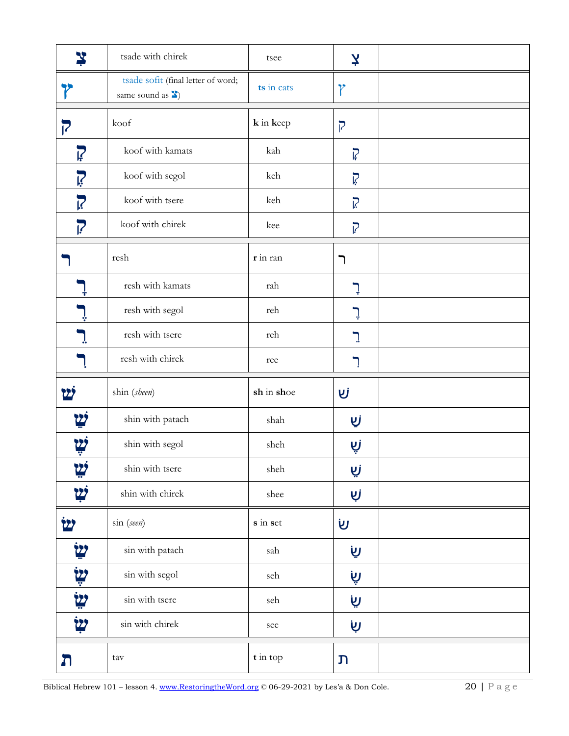| ¥                       | tsade with chirek                                                       | tsee       | Ķ                |  |
|-------------------------|-------------------------------------------------------------------------|------------|------------------|--|
|                         | tsade sofit (final letter of word;<br>same sound as $\mathbf{\Sigma}$ ) | ts in cats | Y                |  |
| 7                       | koof                                                                    | k in keep  | $\overline{P}$   |  |
| $\overline{\mathbf{F}}$ | koof with kamats                                                        | kah        | $\overline{V}$   |  |
| <u>ië</u>               | koof with segol                                                         | keh        | Ç                |  |
| <b>P</b>                | koof with tsere                                                         | keh        | $\sum_{i=1}^{n}$ |  |
| <b>P</b>                | koof with chirek                                                        | kee        | $\overline{R}$   |  |
|                         | resh                                                                    | r in ran   | ר                |  |
|                         | resh with kamats                                                        | rah        | ļ                |  |
|                         | resh with segol                                                         | reh        | ׇׇׇ֢֞׀ <b>ׇ</b>  |  |
|                         | resh with tsere                                                         | reh        | $\mathbb{R}$     |  |
|                         | resh with chirek                                                        | ree        |                  |  |
| ש                       | shin (sheen)                                                            | sh in shoe | ΔÌ               |  |
|                         | shin with patach                                                        | shah       | שַׂ              |  |
|                         | shin with segol                                                         | sheh       | שָׁ              |  |
|                         | shin with tsere                                                         | sheh       | زیا              |  |
| יש                      | shin with chirek                                                        | shee       | Ųj               |  |
| <b>22</b>               | sin (seen)                                                              | $s$ in set | <b>リ</b>         |  |
| <u> ש</u>               | sin with patach                                                         | sah        | <u>שָ</u>        |  |
| <b>اين</b>              | sin with segol                                                          | seh        | Ö                |  |
| <b>ليا</b>              | sin with tsere                                                          | seh        | Ö                |  |
| <u>زيځ</u>              | sin with chirek                                                         | see        | שָׂ              |  |
| ה                       | tav                                                                     | t in top   | J                |  |

Biblical Hebrew 101 - lesson 4. www.RestoringtheWord.org © 06-29-2021 by Les'a & Don Cole.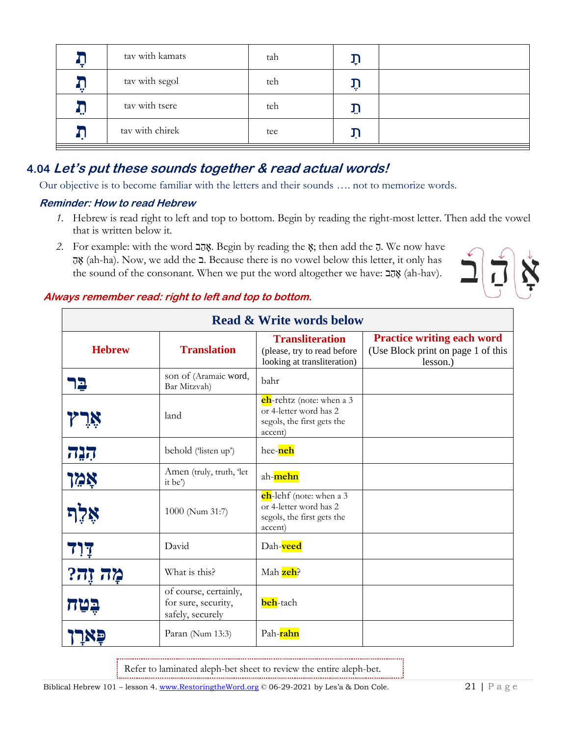| tav with kamats | tah | ηı  |  |
|-----------------|-----|-----|--|
| tav with segol  | teh | اپه |  |
| tav with tsere  | teh | ΥÏ  |  |
| tav with chirek | tee |     |  |

## 4.04 Let's put these sounds together & read actual words!

Our objective is to become familiar with the letters and their sounds .... not to memorize words.

#### **Reminder: How to read Hebrew**

- 1. Hebrew is read right to left and top to bottom. Begin by reading the right-most letter. Then add the vowel that is written below it.
- 2. For example: with the word אָהָב Begin by reading the  $\ddot{\textbf{x}}$ ; then add the  $\overline{\textbf{u}}$ . We now have אָה (ah-ha). Now, we add the 2. Because there is no vowel below this letter, it only has the sound of the consonant. When we put the word altogether we have: אֲהָב (ah-hav).



#### Always remember read: right to left and top to bottom.

| <b>Read &amp; Write words below</b> |                                                                  |                                                                                                     |                                                                                     |  |  |
|-------------------------------------|------------------------------------------------------------------|-----------------------------------------------------------------------------------------------------|-------------------------------------------------------------------------------------|--|--|
| <b>Hebrew</b>                       | <b>Translation</b>                                               | <b>Transliteration</b><br>(please, try to read before<br>looking at transliteration)                | <b>Practice writing each word</b><br>(Use Block print on page 1 of this<br>lesson.) |  |  |
| Е                                   | son of (Aramaic word,<br>Bar Mitzvah)                            | bahr                                                                                                |                                                                                     |  |  |
|                                     | land                                                             | <b>ch</b> -rehtz (note: when a 3<br>or 4-letter word has 2<br>segols, the first gets the<br>accent) |                                                                                     |  |  |
| הנה                                 | behold ('listen up')                                             | hee-neh                                                                                             |                                                                                     |  |  |
| <u>אָמֵן</u>                        | Amen (truly, truth, 'let<br>it be')                              | ah-mehn                                                                                             |                                                                                     |  |  |
|                                     | 1000 (Num 31:7)                                                  | <b>ch</b> -lehf (note: when a 3<br>or 4-letter word has 2<br>segols, the first gets the<br>accent)  |                                                                                     |  |  |
| <b>717</b>                          | David                                                            | Dah-veed                                                                                            |                                                                                     |  |  |
| מָה זֶה?                            | What is this?                                                    | Mah zeh?                                                                                            |                                                                                     |  |  |
|                                     | of course, certainly,<br>for sure, security,<br>safely, securely | beh-tach                                                                                            |                                                                                     |  |  |
|                                     | Paran (Num 13:3)                                                 | Pah-rahn                                                                                            |                                                                                     |  |  |

Refer to laminated aleph-bet sheet to review the entire aleph-bet.